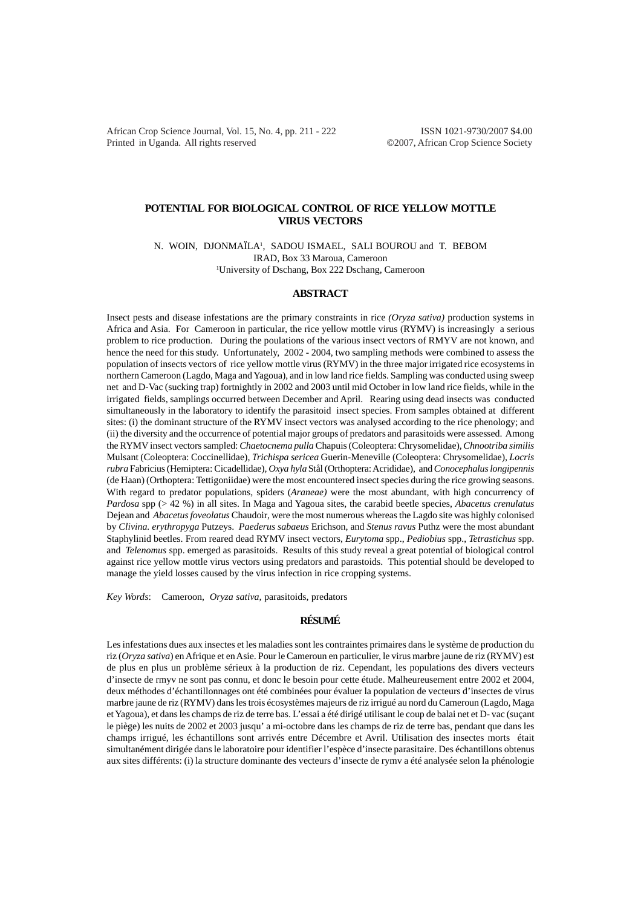African Crop Science Journal, Vol. 15, No. 4, pp. 211 - 222 ISSN 1021-9730/2007 \$4.00 Printed in Uganda. All rights reserved ©2007, African Crop Science Society

# **POTENTIAL FOR BIOLOGICAL CONTROL OF RICE YELLOW MOTTLE VIRUS VECTORS**

N. WOIN, DJONMAÏLA1 , SADOU ISMAEL, SALI BOUROU and T. BEBOM IRAD, Box 33 Maroua, Cameroon 1 University of Dschang, Box 222 Dschang, Cameroon

## **ABSTRACT**

Insect pests and disease infestations are the primary constraints in rice *(Oryza sativa)* production systems in Africa and Asia. For Cameroon in particular, the rice yellow mottle virus (RYMV) is increasingly a serious problem to rice production. During the poulations of the various insect vectors of RMYV are not known, and hence the need for this study. Unfortunately, 2002 - 2004, two sampling methods were combined to assess the population of insects vectors of rice yellow mottle virus (RYMV) in the three major irrigated rice ecosystems in northern Cameroon (Lagdo, Maga and Yagoua), and in low land rice fields. Sampling was conducted using sweep net and D-Vac (sucking trap) fortnightly in 2002 and 2003 until mid October in low land rice fields, while in the irrigated fields, samplings occurred between December and April. Rearing using dead insects was conducted simultaneously in the laboratory to identify the parasitoid insect species. From samples obtained at different sites: (i) the dominant structure of the RYMV insect vectors was analysed according to the rice phenology; and (ii) the diversity and the occurrence of potential major groups of predators and parasitoids were assessed. Among the RYMV insect vectors sampled: *Chaetocnema pulla* Chapuis (Coleoptera: Chrysomelidae), *Chnootriba similis* Mulsant (Coleoptera: Coccinellidae), *Trichispa sericea* Guerin-Meneville (Coleoptera: Chrysomelidae)*, Locris rubra* Fabricius (Hemiptera: Cicadellidae)*, Oxya hyla* Stål (Orthoptera: Acrididae), and *Conocephalus longipennis* (de Haan) (Orthoptera: Tettigoniidae) were the most encountered insect species during the rice growing seasons. With regard to predator populations, spiders (*Araneae)* were the most abundant, with high concurrency of *Pardosa* spp (> 42 %) in all sites. In Maga and Yagoua sites, the carabid beetle species, *Abacetus crenulatus* Dejean and *Abacetus foveolatus* Chaudoir, were the most numerous whereas the Lagdo site was highly colonised by *Clivina. erythropyga* Putzeys. *Paederus sabaeus* Erichson*,* and *Stenus ravus* Puthz were the most abundant Staphylinid beetles. From reared dead RYMV insect vectors, *Eurytoma* spp., *Pediobius* spp., *Tetrastichus* spp. and *Telenomus* spp. emerged as parasitoids. Results of this study reveal a great potential of biological control against rice yellow mottle virus vectors using predators and parastoids. This potential should be developed to manage the yield losses caused by the virus infection in rice cropping systems.

*Key Words*: Cameroon, *Oryza sativa,* parasitoids, predators

# **RÉSUMÉ**

Les infestations dues aux insectes et les maladies sont les contraintes primaires dans le système de production du riz (*Oryza sativa*) en Afrique et en Asie. Pour le Cameroun en particulier, le virus marbre jaune de riz (RYMV) est de plus en plus un problème sérieux à la production de riz. Cependant, les populations des divers vecteurs d'insecte de rmyv ne sont pas connu, et donc le besoin pour cette étude. Malheureusement entre 2002 et 2004, deux méthodes d'échantillonnages ont été combinées pour évaluer la population de vecteurs d'insectes de virus marbre jaune de riz (RYMV) dans les trois écosystèmes majeurs de riz irrigué au nord du Cameroun (Lagdo, Maga et Yagoua), et dans les champs de riz de terre bas. L'essai a été dirigé utilisant le coup de balai net et D- vac (suçant le piège) les nuits de 2002 et 2003 jusqu' a mi-octobre dans les champs de riz de terre bas, pendant que dans les champs irrigué, les échantillons sont arrivés entre Décembre et Avril. Utilisation des insectes morts était simultanément dirigée dans le laboratoire pour identifier l'espèce d'insecte parasitaire. Des échantillons obtenus aux sites différents: (i) la structure dominante des vecteurs d'insecte de rymv a été analysée selon la phénologie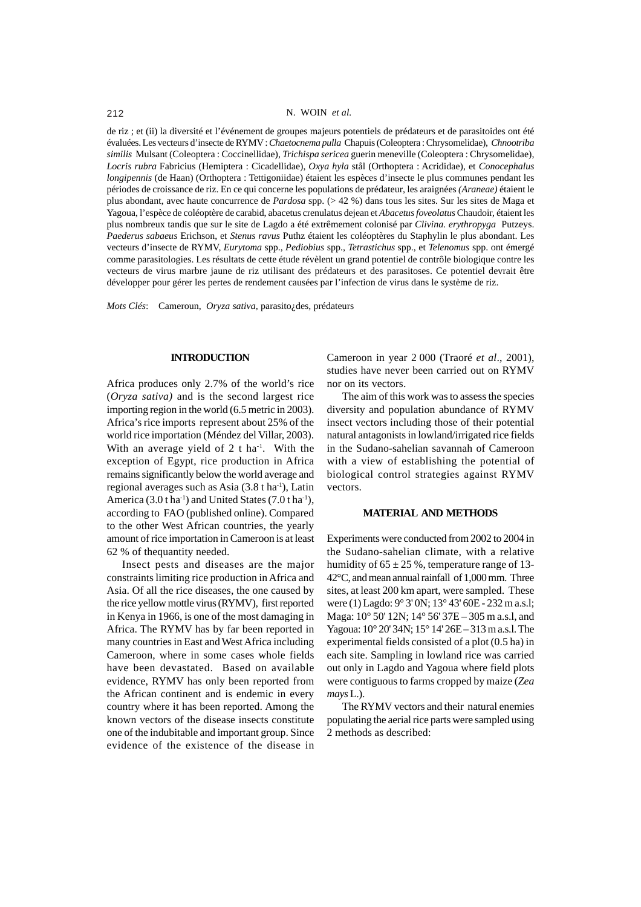#### 212 N. WOIN *et al.*

de riz ; et (ii) la diversité et l'événement de groupes majeurs potentiels de prédateurs et de parasitoides ont été évaluées. Les vecteurs d'insecte de RYMV : *Chaetocnema pulla* Chapuis (Coleoptera : Chrysomelidae), *Chnootriba similis* Mulsant (Coleoptera : Coccinellidae), *Trichispa sericea* guerin meneville (Coleoptera : Chrysomelidae), *Locris rubra* Fabricius (Hemiptera : Cicadellidae), *Oxya hyla* stål (Orthoptera : Acrididae), et *Conocephalus longipennis* (de Haan) (Orthoptera : Tettigoniidae) étaient les espèces d'insecte le plus communes pendant les périodes de croissance de riz. En ce qui concerne les populations de prédateur, les araignées *(Araneae)* étaient le plus abondant, avec haute concurrence de *Pardosa* spp. (> 42 %) dans tous les sites. Sur les sites de Maga et Yagoua, l'espèce de coléoptère de carabid, abacetus crenulatus dejean et *Abacetus foveolatus* Chaudoir, étaient les plus nombreux tandis que sur le site de Lagdo a été extrêmement colonisé par *Clivina. erythropyga* Putzeys. *Paederus sabaeus* Erichson, et *Stenus ravus* Puthz étaient les coléoptères du Staphylin le plus abondant. Les vecteurs d'insecte de RYMV, *Eurytoma* spp., *Pediobius* spp., *Tetrastichus* spp., et *Telenomus* spp. ont émergé comme parasitologies. Les résultats de cette étude révèlent un grand potentiel de contrôle biologique contre les vecteurs de virus marbre jaune de riz utilisant des prédateurs et des parasitoses. Ce potentiel devrait être développer pour gérer les pertes de rendement causées par l'infection de virus dans le système de riz.

*Mots Clés*: Cameroun, *Oryza sativa,* parasito¿des, prédateurs

### **INTRODUCTION**

Africa produces only 2.7% of the world's rice (*Oryza sativa)* and is the second largest rice importing region in the world (6.5 metric in 2003). Africa's rice imports represent about 25% of the world rice importation (Méndez del Villar, 2003). With an average yield of  $2$  t ha<sup>-1</sup>. With the exception of Egypt, rice production in Africa remains significantly below the world average and regional averages such as Asia  $(3.8 \text{ tha}^{-1})$ . Latin America  $(3.0 \text{ tha}^{-1})$  and United States  $(7.0 \text{ tha}^{-1})$ , according to FAO (published online). Compared to the other West African countries, the yearly amount of rice importation in Cameroon is at least 62 % of thequantity needed.

Insect pests and diseases are the major constraints limiting rice production in Africa and Asia. Of all the rice diseases, the one caused by the rice yellow mottle virus (RYMV), first reported in Kenya in 1966, is one of the most damaging in Africa. The RYMV has by far been reported in many countries in East and West Africa including Cameroon, where in some cases whole fields have been devastated. Based on available evidence, RYMV has only been reported from the African continent and is endemic in every country where it has been reported. Among the known vectors of the disease insects constitute one of the indubitable and important group. Since evidence of the existence of the disease in

Cameroon in year 2 000 (Traoré *et al*., 2001), studies have never been carried out on RYMV nor on its vectors.

The aim of this work was to assess the species diversity and population abundance of RYMV insect vectors including those of their potential natural antagonists in lowland/irrigated rice fields in the Sudano-sahelian savannah of Cameroon with a view of establishing the potential of biological control strategies against RYMV vectors.

## **MATERIAL AND METHODS**

Experiments were conducted from 2002 to 2004 in the Sudano-sahelian climate, with a relative humidity of  $65 \pm 25$ %, temperature range of 13-42°C, and mean annual rainfall of 1,000 mm. Three sites, at least 200 km apart, were sampled. These were (1) Lagdo: 9° 3' 0N; 13° 43' 60E - 232 m a.s.l; Maga: 10° 50' 12N; 14° 56' 37E – 305 m a.s.l, and Yagoua: 10° 20' 34N; 15° 14' 26E – 313 m a.s.l. The experimental fields consisted of a plot (0.5 ha) in each site. Sampling in lowland rice was carried out only in Lagdo and Yagoua where field plots were contiguous to farms cropped by maize (*Zea mays* L.).

The RYMV vectors and their natural enemies populating the aerial rice parts were sampled using 2 methods as described: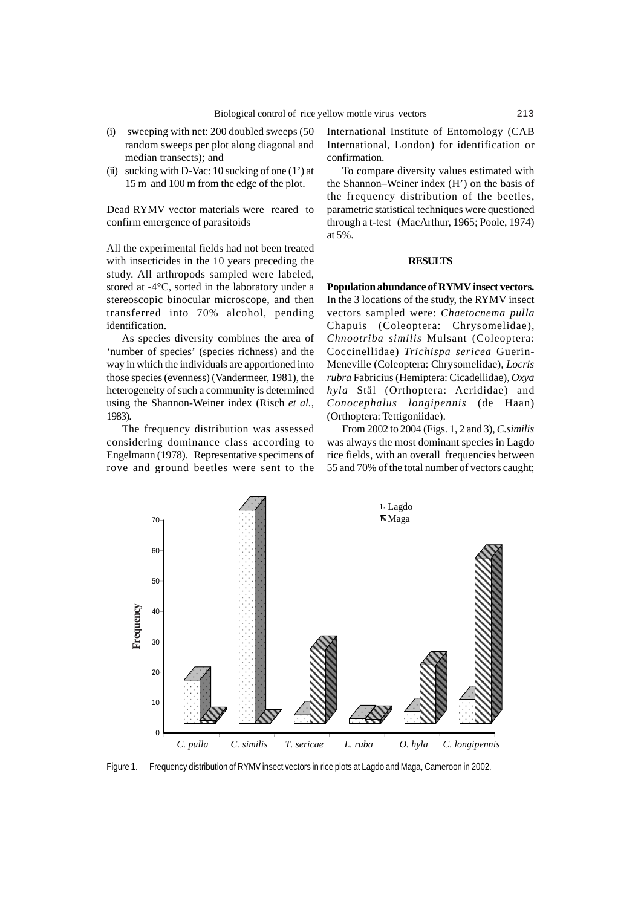- (i) sweeping with net: 200 doubled sweeps (50 random sweeps per plot along diagonal and median transects); and
- (ii) sucking with D-Vac: 10 sucking of one  $(1')$  at 15 m and 100 m from the edge of the plot.

Dead RYMV vector materials were reared to confirm emergence of parasitoids

All the experimental fields had not been treated with insecticides in the 10 years preceding the study. All arthropods sampled were labeled, stored at -4°C, sorted in the laboratory under a stereoscopic binocular microscope, and then transferred into 70% alcohol, pending identification.

As species diversity combines the area of 'number of species' (species richness) and the way in which the individuals are apportioned into those species (evenness) (Vandermeer, 1981), the heterogeneity of such a community is determined using the Shannon-Weiner index (Risch *et al.*, 1983).

The frequency distribution was assessed considering dominance class according to Engelmann (1978). Representative specimens of rove and ground beetles were sent to the

International Institute of Entomology (CAB International, London) for identification or confirmation.

To compare diversity values estimated with the Shannon–Weiner index (H') on the basis of the frequency distribution of the beetles, parametric statistical techniques were questioned through a t-test (MacArthur, 1965; Poole, 1974) at 5%.

#### **RESULTS**

**Population abundance of RYMV insect vectors.** In the 3 locations of the study, the RYMV insect vectors sampled were: *Chaetocnema pulla* Chapuis (Coleoptera: Chrysomelidae), *Chnootriba similis* Mulsant (Coleoptera: Coccinellidae) *Trichispa sericea* Guerin-Meneville (Coleoptera: Chrysomelidae)*, Locris rubra* Fabricius (Hemiptera: Cicadellidae)*, Oxya hyla* Stål (Orthoptera: Acrididae) and *Conocephalus longipennis* (de Haan) (Orthoptera: Tettigoniidae).

From 2002 to 2004 (Figs. 1, 2 and 3), *C.similis* was always the most dominant species in Lagdo rice fields, with an overall frequencies between 55 and 70% of the total number of vectors caught;



Figure 1. Frequency distribution of RYMV insect vectors in rice plots at Lagdo and Maga, Cameroon in 2002.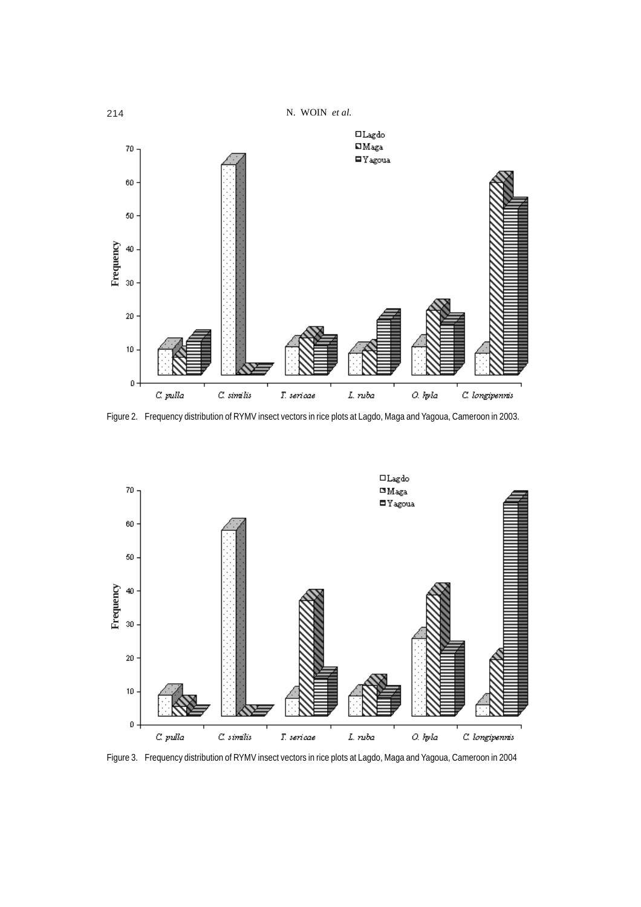

Figure 2. Frequency distribution of RYMV insect vectors in rice plots at Lagdo, Maga and Yagoua, Cameroon in 2003.

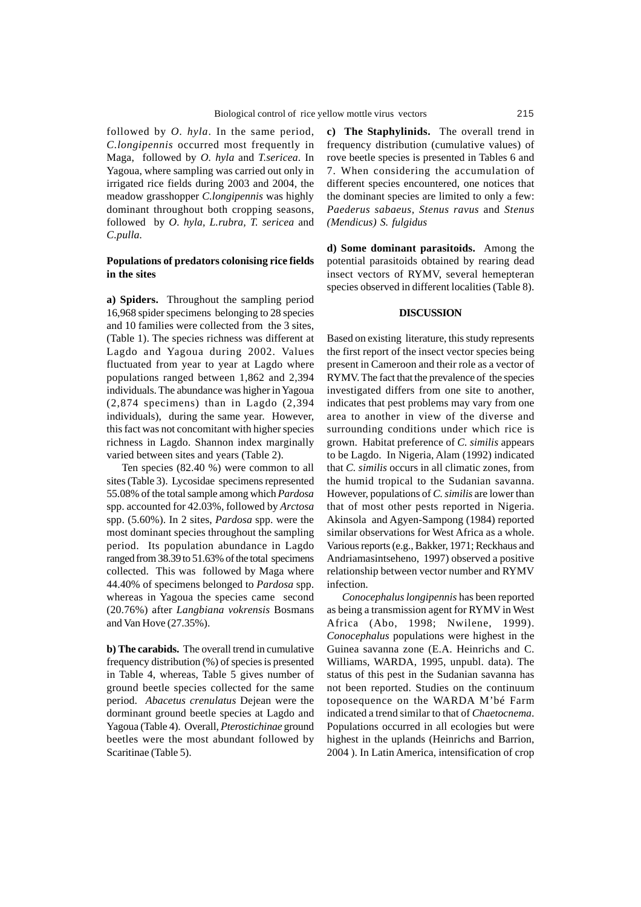followed by *O. hyla*. In the same period, *C.longipennis* occurred most frequently in Maga, followed by *O. hyla* and *T.sericea*. In Yagoua, where sampling was carried out only in irrigated rice fields during 2003 and 2004, the meadow grasshopper *C.longipennis* was highly dominant throughout both cropping seasons, followed by *O. hyla, L.rubra, T. sericea* and *C.pulla.*

## **Populations of predators colonising rice fields in the sites**

**a) Spiders.** Throughout the sampling period 16,968 spider specimens belonging to 28 species and 10 families were collected from the 3 sites, (Table 1). The species richness was different at Lagdo and Yagoua during 2002. Values fluctuated from year to year at Lagdo where populations ranged between 1,862 and 2,394 individuals. The abundance was higher in Yagoua (2,874 specimens) than in Lagdo (2,394 individuals), during the same year. However, this fact was not concomitant with higher species richness in Lagdo. Shannon index marginally varied between sites and years (Table 2).

Ten species (82.40 %) were common to all sites (Table 3). Lycosidae specimens represented 55.08% of the total sample among which *Pardosa* spp. accounted for 42.03%, followed by *Arctosa* spp. (5.60%). In 2 sites, *Pardosa* spp. were the most dominant species throughout the sampling period. Its population abundance in Lagdo ranged from 38.39 to 51.63% of the total specimens collected. This was followed by Maga where 44.40% of specimens belonged to *Pardosa* spp. whereas in Yagoua the species came second (20.76%) after *Langbiana vokrensis* Bosmans and Van Hove (27.35%).

**b) The carabids.** The overall trend in cumulative frequency distribution (%) of species is presented in Table 4, whereas, Table 5 gives number of ground beetle species collected for the same period. *Abacetus crenulatus* Dejean were the dorminant ground beetle species at Lagdo and Yagoua (Table 4). Overall, *Pterostichinae* ground beetles were the most abundant followed by Scaritinae (Table 5).

**c) The Staphylinids.** The overall trend in frequency distribution (cumulative values) of rove beetle species is presented in Tables 6 and 7. When considering the accumulation of different species encountered, one notices that the dominant species are limited to only a few: *Paederus sabaeus, Stenus ravus* and *Stenus (Mendicus) S. fulgidus*

**d) Some dominant parasitoids.** Among the potential parasitoids obtained by rearing dead insect vectors of RYMV, several hemepteran species observed in different localities (Table 8).

## **DISCUSSION**

Based on existing literature, this study represents the first report of the insect vector species being present in Cameroon and their role as a vector of RYMV. The fact that the prevalence of the species investigated differs from one site to another, indicates that pest problems may vary from one area to another in view of the diverse and surrounding conditions under which rice is grown. Habitat preference of *C. similis* appears to be Lagdo. In Nigeria, Alam (1992) indicated that *C. similis* occurs in all climatic zones, from the humid tropical to the Sudanian savanna. However, populations of *C. similis* are lower than that of most other pests reported in Nigeria. Akinsola and Agyen-Sampong (1984) reported similar observations for West Africa as a whole. Various reports (e.g., Bakker, 1971; Reckhaus and Andriamasintseheno, 1997) observed a positive relationship between vector number and RYMV infection.

*Conocephalus longipennis* has been reported as being a transmission agent for RYMV in West Africa (Abo, 1998; Nwilene, 1999). *Conocephalus* populations were highest in the Guinea savanna zone (E.A. Heinrichs and C. Williams, WARDA, 1995, unpubl. data). The status of this pest in the Sudanian savanna has not been reported. Studies on the continuum toposequence on the WARDA M'bé Farm indicated a trend similar to that of *Chaetocnema*. Populations occurred in all ecologies but were highest in the uplands (Heinrichs and Barrion, 2004 ). In Latin America, intensification of crop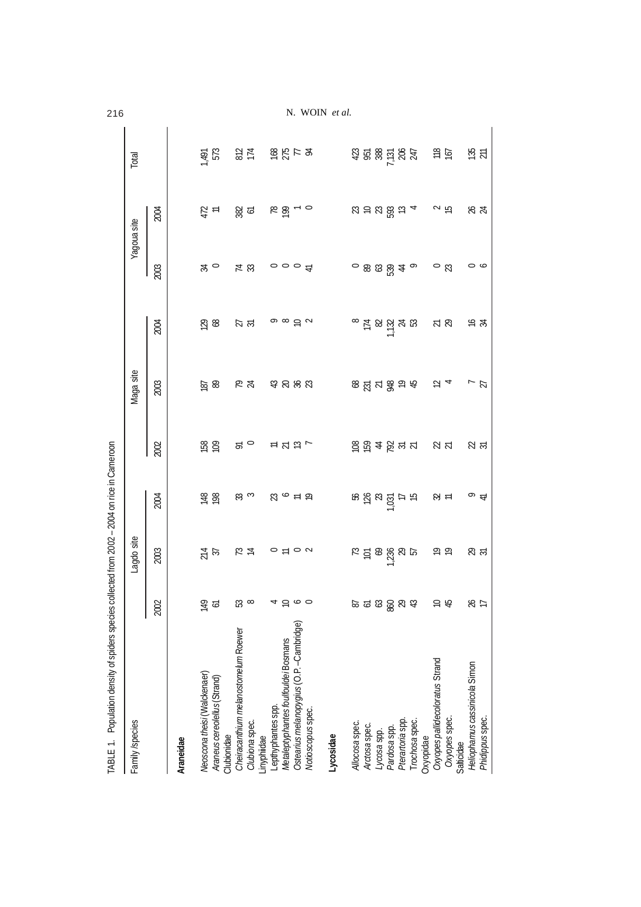| v.<br>٠ | ۰, | ۰. |
|---------|----|----|
|         |    | ۰, |

216 N. WOIN *et al.*

| Family/species                                                                                                                              |                                                             | Lagdo site                                                                                                      |                                                   |                                                                                                                                                                                                                                                                           | Maga site             |                                                                                                                            |                                    | Yagoua site            | Total                |
|---------------------------------------------------------------------------------------------------------------------------------------------|-------------------------------------------------------------|-----------------------------------------------------------------------------------------------------------------|---------------------------------------------------|---------------------------------------------------------------------------------------------------------------------------------------------------------------------------------------------------------------------------------------------------------------------------|-----------------------|----------------------------------------------------------------------------------------------------------------------------|------------------------------------|------------------------|----------------------|
|                                                                                                                                             | 2002                                                        | 2003                                                                                                            | 2004                                              | 2002                                                                                                                                                                                                                                                                      | 2003                  | 2004                                                                                                                       | 2003                               | 2004                   |                      |
| Araneidae                                                                                                                                   |                                                             |                                                                                                                 |                                                   |                                                                                                                                                                                                                                                                           |                       |                                                                                                                            |                                    |                        |                      |
| Neoscona theisi (Walckenaer)<br>Araneus cereolellus (Strand)                                                                                | $\frac{1}{2}$<br><u>م:</u>                                  |                                                                                                                 | $\frac{8}{6}$                                     | $\frac{88}{100}$                                                                                                                                                                                                                                                          | $\frac{8}{18}$        | $\frac{8}{2}$                                                                                                              | $\stackrel{\sim}{\approx}$ $\circ$ | $\frac{17}{4}$         | 1,491<br>573         |
| Cheiracanthium melanostomelum Roewer<br>Clubiona spec.<br>Clubionidae                                                                       | <u>ន</u>                                                    |                                                                                                                 | $\approx$ ದ                                       | $\approx$ 0                                                                                                                                                                                                                                                               | $R \times$            | $\overline{R}$ ಸ                                                                                                           | $\frac{\pi}{3}$                    | <u> හි ප</u>           |                      |
| Ostearius melanopygius (O.P. - Cambridge)<br>Metaleptyphantes foulfouldei Bosmans<br>Lepthyphantes spp.<br>Notioscopus spec.<br>Linyphiidae | $\overline{a}$ $\overline{b}$ $\overline{c}$ $\overline{c}$ | $\frac{1}{2}$ $\frac{1}{2}$ $\frac{1}{2}$ $\frac{1}{2}$ $\frac{1}{2}$ $\frac{1}{2}$ $\frac{1}{2}$ $\frac{1}{2}$ | $R \circ F$                                       | $\mathrel{\mathop:}= \mathrel{\mathop{\mathop{\mathop{\scriptstyle\sim}}}}\mathrel{\mathop{\mathop{\scriptstyle\circ}}} \mathrel{\mathop{\scriptstyle\circ}}\mathrel{\mathop{\scriptstyle\circ}}\mathrel{\mathop{\scriptstyle\circ}}\mathrel{\mathop{\scriptstyle\circ}}$ | 53 8 8 9              | $\circ$ $\circ$ $\circ$ $\circ$                                                                                            | $\circ \circ \circ \in$            | $R \nleftrightarrow R$ | 37 2857 28           |
| Lycosidae                                                                                                                                   |                                                             |                                                                                                                 |                                                   |                                                                                                                                                                                                                                                                           |                       |                                                                                                                            |                                    |                        |                      |
|                                                                                                                                             |                                                             |                                                                                                                 |                                                   |                                                                                                                                                                                                                                                                           |                       |                                                                                                                            |                                    |                        |                      |
| Allocosa spec.<br>Arctosa spec.<br>Lycosa spp.                                                                                              | $\mathfrak{B}$<br>ထဲ<br>خ                                   | $R = 28\%$ $R = 25$                                                                                             | $88800$ $\frac{1}{2}$ $\frac{1}{2}$ $\frac{1}{2}$ | 887222                                                                                                                                                                                                                                                                    | 85 kg kg kg kg        | $^{\circ}$ $\frac{1}{2}$ $\frac{1}{2}$ $\frac{1}{2}$ $\frac{1}{2}$ $\frac{1}{2}$ $\frac{1}{2}$ $\frac{1}{2}$ $\frac{1}{2}$ | $-8384$                            | $R \geq R \geq m$      | <b>SE SSE SSE ES</b> |
| Pardosa spp.                                                                                                                                | 880                                                         |                                                                                                                 |                                                   |                                                                                                                                                                                                                                                                           |                       |                                                                                                                            |                                    |                        |                      |
| Pterartoria spp.                                                                                                                            | & ಕ                                                         |                                                                                                                 |                                                   |                                                                                                                                                                                                                                                                           |                       |                                                                                                                            |                                    |                        |                      |
| Trochosa spec.<br>Oxyopidae                                                                                                                 |                                                             |                                                                                                                 |                                                   |                                                                                                                                                                                                                                                                           |                       |                                                                                                                            |                                    |                        |                      |
| Oxyopes pallidecoloratus Strand                                                                                                             |                                                             |                                                                                                                 |                                                   |                                                                                                                                                                                                                                                                           |                       |                                                                                                                            |                                    |                        |                      |
| Oxyopes spec.<br>Salticidae                                                                                                                 | 45                                                          | $\tilde{\Theta}$                                                                                                | $\mathfrak{B} \simeq$                             | $\frac{2}{3}$                                                                                                                                                                                                                                                             | $\overline{\omega}$ 4 | $\approx 8$                                                                                                                | $\circ$ $\approx$                  | $\sim$ 15              |                      |
| Heliophamus cassinicola Simon                                                                                                               | ₹                                                           | $8\overline{5}$                                                                                                 | $\sim$ 4                                          | ನ ಸ                                                                                                                                                                                                                                                                       | $\frac{7}{21}$        | \$ ∉                                                                                                                       | $\circ$ $\circ$                    | ಸಿ<br>ಸ                | $\frac{15}{21}$      |
| Phidippus spec.                                                                                                                             |                                                             |                                                                                                                 |                                                   |                                                                                                                                                                                                                                                                           |                       |                                                                                                                            |                                    |                        |                      |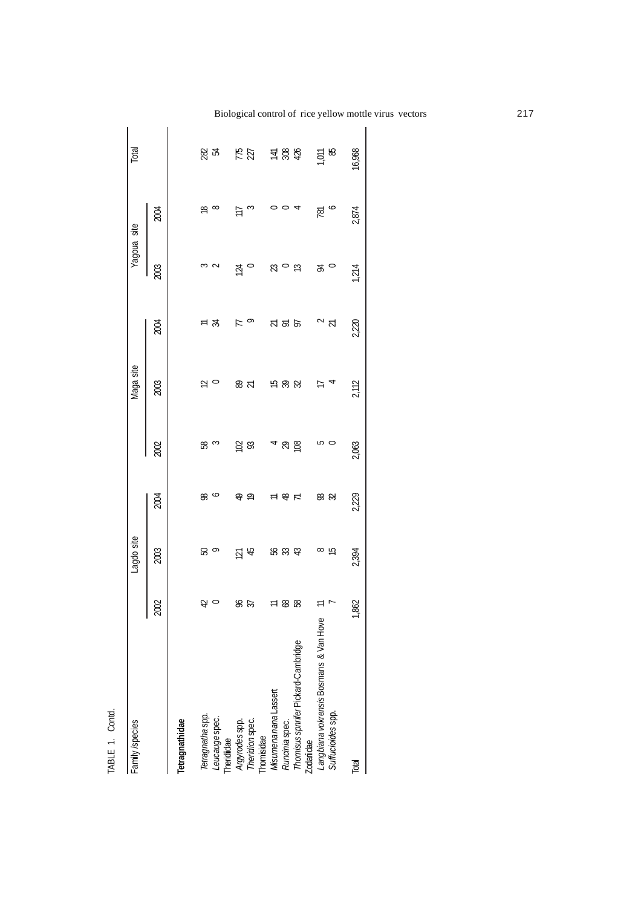| ٠                  |  |
|--------------------|--|
|                    |  |
| Í<br>$-\lambda$ Di |  |

| Family /species                                   |             | Lagdo site                    |               |                  | Maga site        |                  | Yaqoua site           |                    | Total           |
|---------------------------------------------------|-------------|-------------------------------|---------------|------------------|------------------|------------------|-----------------------|--------------------|-----------------|
|                                                   | 2002        | 2003                          | 2004          | 2002             | 2003             | 2004             | 2003                  | 2004               |                 |
| Tetragnathidae                                    |             |                               |               |                  |                  |                  |                       |                    |                 |
| Tetragnatha spp.                                  |             | <u>ေ</u>                      | 88            | 85               |                  |                  |                       |                    |                 |
| Leucauge spec.<br>Theridiidae                     | $\approx$ 0 |                               |               |                  | $\simeq$ $\circ$ | 드 져              | 3<br>2                | $\frac{\infty}{6}$ | ಜ್ಞ ಜ           |
|                                                   |             |                               |               |                  |                  | F                |                       | Ξ                  |                 |
| Argyrodes spp.<br>Theridion spec.<br>Thomisidae   | 85<br>25    | $\overline{2}$ $\overline{4}$ | 유 우           | $\overline{5}$ & | & ಸ              | $\circ$          | $\frac{1}{2}$ 0       | $\infty$           | $\frac{12}{22}$ |
| Misumena nana Lassert                             |             |                               | $\equiv$      |                  |                  |                  |                       | 0                  |                 |
| Runcinia spec.                                    |             |                               |               | $48\overline{8}$ | <b>15 % %</b>    | <b>A</b> & &     | $\approx$ 0 $\approx$ | $\circ$ 4          | <b>프 쓿 춗</b>    |
| Thomisus spnrifer Pickard-Cambridge<br>Zodariidae |             |                               | $\frac{1}{2}$ |                  |                  |                  |                       |                    |                 |
| Langbiana vokrensis Bosmans & Van Hove            | $\equiv$    |                               |               |                  | ≓                |                  |                       | 781                | EQ.             |
| Suffucioides spp.                                 |             | യ പ്ര<br>8                    | ಜ ಜ           | ro o             |                  | $\sim$ $\approx$ | $\approx$ 0           | ∘                  | 58              |
| Total                                             | 1,862       | 2,394                         | 2,229         | 2,063            | 2,112            | 2,220            | 1214                  | 2,874              | 16,968          |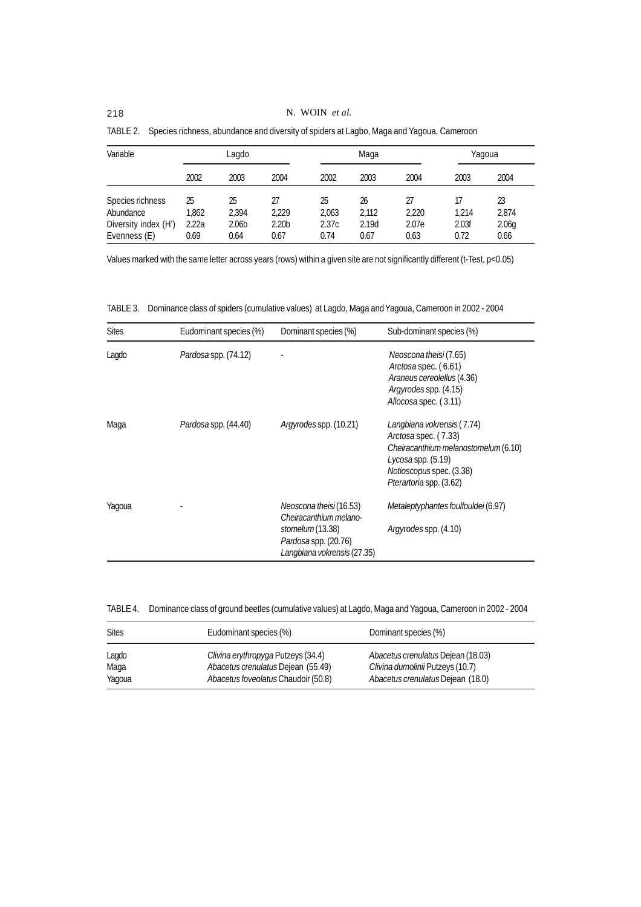| Variable             |       | Lagdo             |                   |       | Maga  |       |       | Yaqoua            |
|----------------------|-------|-------------------|-------------------|-------|-------|-------|-------|-------------------|
|                      | 2002  | 2003              | 2004              | 2002  | 2003  | 2004  | 2003  | 2004              |
| Species richness     | 25    | 25                | 27                | 25    | 26    | 27    | 17    | 23                |
| Abundance            | 1.862 | 2.394             | 2.229             | 2,063 | 2,112 | 2,220 | 1.214 | 2,874             |
| Diversity index (H') | 2.22a | 2.06 <sub>b</sub> | 2.20 <sub>b</sub> | 2.37c | 2.19d | 2.07e | 2.03f | 2.06 <sub>g</sub> |
| Evenness (E)         | 0.69  | 0.64              | 0.67              | 0.74  | 0.67  | 0.63  | 0.72  | 0.66              |

TABLE 2. Species richness, abundance and diversity of spiders at Lagbo, Maga and Yagoua, Cameroon

Values marked with the same letter across years (rows) within a given site are not significantly different (t-Test, p<0.05)

TABLE 3. Dominance class of spiders (cumulative values) at Lagdo, Maga and Yagoua, Cameroon in 2002 - 2004

| <b>Sites</b> | Eudominant species (%) | Dominant species (%)                                                                                                                | Sub-dominant species (%)                                                                                                                                                      |
|--------------|------------------------|-------------------------------------------------------------------------------------------------------------------------------------|-------------------------------------------------------------------------------------------------------------------------------------------------------------------------------|
| Lagdo        | Pardosa spp. (74.12)   |                                                                                                                                     | Neoscona theisi (7.65)<br>Arctosa spec. (6.61)<br>Araneus cereolellus (4.36)<br>Argyrodes spp. (4.15)<br>Allocosa spec. (3.11)                                                |
| Maga         | Pardosa spp. (44.40)   | Argyrodes spp. (10.21)                                                                                                              | Langbiana vokrensis (7.74)<br>Arctosa spec. (7.33)<br>Cheiracanthium melanostomelum(6.10)<br>Lycosa spp. (5.19)<br><i>Notioscopus</i> spec. (3.38)<br>Pterartoria spp. (3.62) |
| Yaqoua       |                        | Neoscona theisi (16.53)<br>Cheiracanthium melano-<br>stomelum (13.38)<br><i>Pardosa</i> spp. (20.76)<br>Langbiana vokrensis (27.35) | Metaleptyphantes foulfouldei (6.97)<br>Argyrodes spp. (4.10)                                                                                                                  |

TABLE 4. Dominance class of ground beetles (cumulative values) at Lagdo, Maga and Yagoua, Cameroon in 2002 - 2004

| <b>Sites</b> | Eudominant species (%)              | Dominant species (%)               |
|--------------|-------------------------------------|------------------------------------|
| Lagdo        | Clivina erythropyga Putzeys (34.4)  | Abacetus crenulatus Dejean (18.03) |
| Maga         | Abacetus crenulatus Dejean (55.49)  | Clivina dumolinii Putzeys (10.7)   |
| Yagoua       | Abacetus foveolatus Chaudoir (50.8) | Abacetus crenulatus Dejean (18.0)  |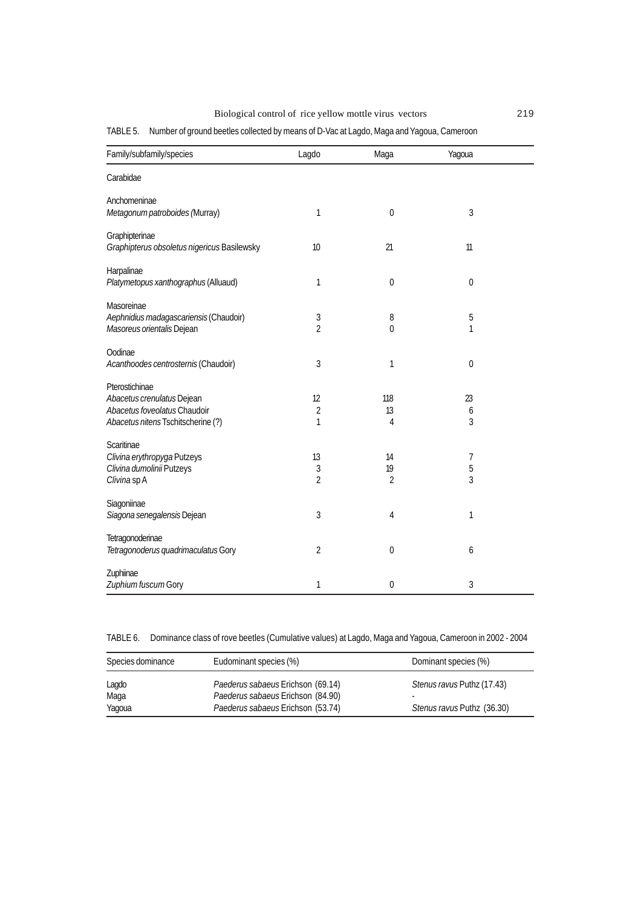Biological control of rice yellow mottle virus vectors 219

TABLE 5. Number of ground beetles collected by means of D-Vac at Lagdo, Maga and Yagoua, Cameroon

| Family/subfamily/species                                                                                           | Lagdo                     | Maga                       | Yagoua           |  |
|--------------------------------------------------------------------------------------------------------------------|---------------------------|----------------------------|------------------|--|
| Carabidae                                                                                                          |                           |                            |                  |  |
| Anchomeninae<br>Metagonum patroboides (Murray)                                                                     | 1                         | $\boldsymbol{0}$           | 3                |  |
| Graphipterinae<br>Graphipterus obsoletus nigericus Basilewsky                                                      | 10                        | 21                         | 11               |  |
| Harpalinae<br>Platymetopus xanthographus (Alluaud)                                                                 | 1                         | $\boldsymbol{0}$           | $\mathbf 0$      |  |
| Masoreinae<br>Aephnidius madagascariensis (Chaudoir)<br>Masoreus orientalis Dejean                                 | 3<br>$\overline{2}$       | 8<br>$\theta$              | 5<br>1           |  |
| Oodinae<br>Acanthoodes centrosternis (Chaudoir)                                                                    | 3                         | 1                          | $\boldsymbol{0}$ |  |
| Pterostichinae<br>Abacetus crenulatus Dejean<br>Abacetus foveolatus Chaudoir<br>Abacetus nitens Tschitscherine (?) | 12<br>$\overline{2}$<br>1 | 118<br>13<br>4             | 23<br>6<br>3     |  |
| Scaritinae<br>Clivina erythropyga Putzeys<br>Clivina dumolinii Putzeys<br>Clivina <sub>sp</sub> A                  | 13<br>3<br>$\overline{2}$ | 14<br>19<br>$\overline{2}$ | 7<br>5<br>3      |  |
| Siagoniinae<br>Siagona senegalensis Dejean                                                                         | 3                         | 4                          | 1                |  |
| Tetragonoderinae<br>Tetragonoderus quadrimaculatus Gory                                                            | $\overline{2}$            | $\boldsymbol{0}$           | 6                |  |
| Zuphiinae<br>Zuphium fuscum Gory                                                                                   | 1                         | $\mathbf 0$                | 3                |  |

TABLE 6. Dominance class of rove beetles (Cumulative values) at Lagdo, Maga and Yagoua, Cameroon in 2002 - 2004

| Species dominance | Eudominant species (%)                                                 | Dominant species (%)            |
|-------------------|------------------------------------------------------------------------|---------------------------------|
| Lagdo             | Paederus sabaeus Erichson (69.14)                                      | Stenus ravus Puthz (17.43)      |
| Maga<br>Yaqoua    | Paederus sabaeus Erichson (84.90)<br>Paederus sabaeus Erichson (53.74) | ۰<br>Stenus ravus Puthz (36.30) |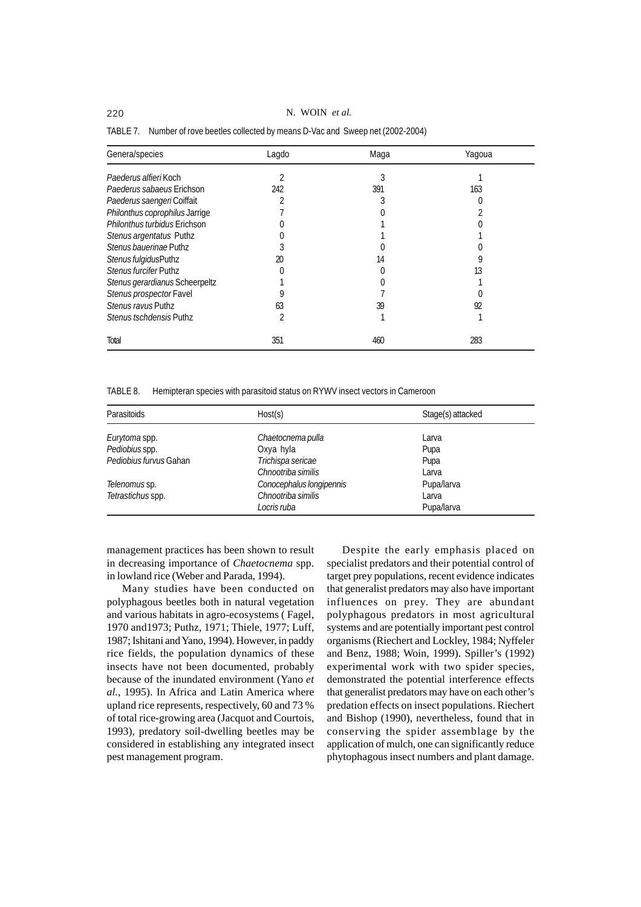220 N. WOIN *et al.*

| Genera/species                   | Lagdo | Maga | Yagoua |
|----------------------------------|-------|------|--------|
| Paederus alfieri Koch            |       |      |        |
| <i>Paederus sabaeus</i> Erichson | 242   | 391  | 163    |
| Paederus saengeriCoiffait        |       |      |        |
| Philonthus coprophilus Jarrige   |       |      |        |
| Philonthus turbidus Erichson     |       |      |        |
| Stenus argentatus Puthz          |       |      |        |
| Stenus bauerinae Puthz           |       |      |        |
| Stenus fulgidusPuthz             | 20    | 14   |        |
| Stenus furcifer Puthz            |       |      | 13     |
| Stenus gerardianus Scheerpeltz   |       |      |        |
| Stenus prospector Favel          |       |      |        |
| Stenus ravus Puthz               | 63    | 39   | 92     |
| Stenus tschdensis Puthz          |       |      |        |
| Total                            | 351   | 460  | 283    |

TABLE 7. Number of rove beetles collected by means D-Vac and Sweep net (2002-2004)

TABLE 8. Hemipteran species with parasitoid status on RYWV insect vectors in Cameroon

| <b>Parasitoids</b>     | Host(s)                  | Stage(s) attacked |
|------------------------|--------------------------|-------------------|
| Eurytoma spp.          | Chaetocnema pulla        | Larva             |
| Pediobius spp.         | Oxya hyla                | Pupa              |
| Pediobius furvus Gahan | Trichispa sericae        | Pupa              |
|                        | Chnootriba similis       | Larva             |
| Telenomus sp.          | Conocephalus longipennis | Pupa/larva        |
| Tetrastichus spp.      | Chnootriba similis       | Larva             |
|                        | Locris ruba              | Pupa/larva        |

management practices has been shown to result in decreasing importance of *Chaetocnema* spp. in lowland rice (Weber and Parada, 1994).

Many studies have been conducted on polyphagous beetles both in natural vegetation and various habitats in agro-ecosystems ( Fagel, 1970 and1973; Puthz, 1971; Thiele, 1977; Luff, 1987; Ishitani and Yano, 1994). However, in paddy rice fields, the population dynamics of these insects have not been documented, probably because of the inundated environment (Yano *et al.*, 1995). In Africa and Latin America where upland rice represents, respectively, 60 and 73 % of total rice-growing area (Jacquot and Courtois, 1993), predatory soil-dwelling beetles may be considered in establishing any integrated insect pest management program.

Despite the early emphasis placed on specialist predators and their potential control of target prey populations, recent evidence indicates that generalist predators may also have important influences on prey. They are abundant polyphagous predators in most agricultural systems and are potentially important pest control organisms (Riechert and Lockley, 1984; Nyffeler and Benz, 1988; Woin, 1999). Spiller's (1992) experimental work with two spider species, demonstrated the potential interference effects that generalist predators may have on each other's predation effects on insect populations. Riechert and Bishop (1990), nevertheless, found that in conserving the spider assemblage by the application of mulch, one can significantly reduce phytophagous insect numbers and plant damage.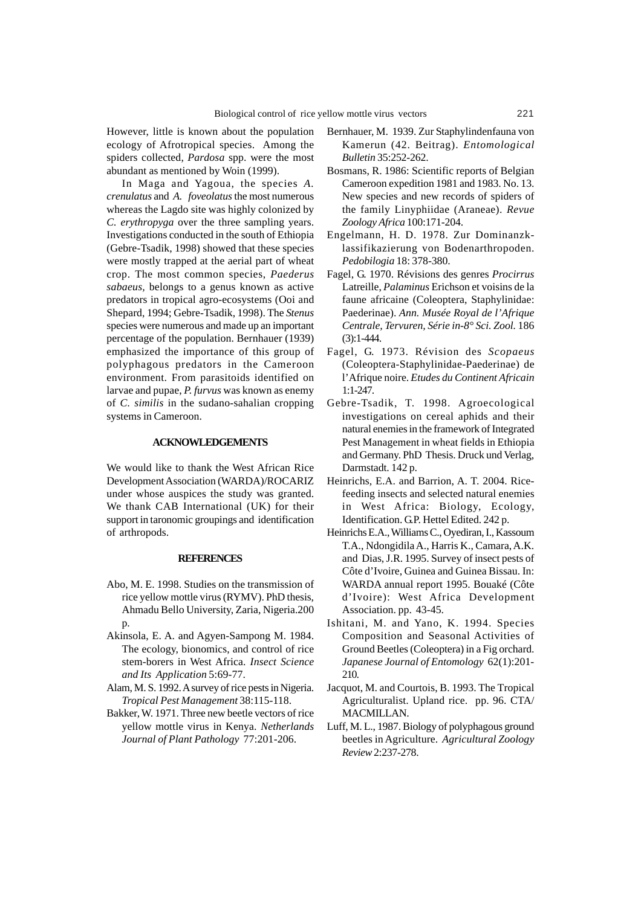However, little is known about the population ecology of Afrotropical species. Among the spiders collected, *Pardosa* spp. were the most abundant as mentioned by Woin (1999).

In Maga and Yagoua, the species *A. crenulatus* and *A. foveolatus* the most numerous whereas the Lagdo site was highly colonized by *C. erythropyga* over the three sampling years. Investigations conducted in the south of Ethiopia (Gebre-Tsadik, 1998) showed that these species were mostly trapped at the aerial part of wheat crop. The most common species, *Paederus sabaeus,* belongs to a genus known as active predators in tropical agro-ecosystems (Ooi and Shepard, 1994; Gebre-Tsadik, 1998). The *Stenus* species were numerous and made up an important percentage of the population. Bernhauer (1939) emphasized the importance of this group of polyphagous predators in the Cameroon environment. From parasitoids identified on larvae and pupae, *P. furvus* was known as enemy of *C. similis* in the sudano-sahalian cropping systems in Cameroon.

## **ACKNOWLEDGEMENTS**

We would like to thank the West African Rice Development Association (WARDA)/ROCARIZ under whose auspices the study was granted. We thank CAB International (UK) for their support in taronomic groupings and identification of arthropods.

#### **REFERENCES**

- Abo, M. E. 1998. Studies on the transmission of rice yellow mottle virus (RYMV). PhD thesis, Ahmadu Bello University, Zaria, Nigeria.200 p.
- Akinsola, E. A. and Agyen-Sampong M. 1984. The ecology, bionomics, and control of rice stem-borers in West Africa. *Insect Science and Its Application* 5:69-77.
- Alam, M. S. 1992. A survey of rice pests in Nigeria. *Tropical Pest Management* 38:115-118.
- Bakker, W. 1971. Three new beetle vectors of rice yellow mottle virus in Kenya. *Netherlands Journal of Plant Pathology* 77:201-206.
- Bernhauer, M. 1939. Zur Staphylindenfauna von Kamerun (42. Beitrag). *Entomological Bulletin* 35:252-262.
- Bosmans, R. 1986: Scientific reports of Belgian Cameroon expedition 1981 and 1983. No. 13. New species and new records of spiders of the family Linyphiidae (Araneae). *Revue Zoology Africa* 100:171-204.
- Engelmann, H. D. 1978. Zur Dominanzklassifikazierung von Bodenarthropoden. *Pedobilogia* 18: 378-380.
- Fagel, G. 1970. Révisions des genres *Procirrus* Latreille, *Palaminus* Erichson et voisins de la faune africaine (Coleoptera, Staphylinidae: Paederinae). *Ann. Musée Royal de l'Afrique Centrale, Tervuren, Série in-8° Sci. Zool.* 186 (3):1-444.
- Fagel, G. 1973. Révision des *Scopaeus* (Coleoptera-Staphylinidae-Paederinae) de l'Afrique noire. *Etudes du Continent Africain* 1:1-247.
- Gebre-Tsadik, T. 1998. Agroecological investigations on cereal aphids and their natural enemies in the framework of Integrated Pest Management in wheat fields in Ethiopia and Germany. PhD Thesis. Druck und Verlag, Darmstadt. 142 p.
- Heinrichs, E.A. and Barrion, A. T. 2004. Ricefeeding insects and selected natural enemies in West Africa: Biology, Ecology, Identification. G.P. Hettel Edited. 242 p.
- Heinrichs E.A., Williams C., Oyediran, I., Kassoum T.A., Ndongidila A., Harris K., Camara, A.K. and Dias, J.R. 1995. Survey of insect pests of Côte d'Ivoire, Guinea and Guinea Bissau. In: WARDA annual report 1995. Bouaké (Côte d'Ivoire): West Africa Development Association. pp. 43-45.
- Ishitani, M. and Yano, K. 1994. Species Composition and Seasonal Activities of Ground Beetles (Coleoptera) in a Fig orchard. *Japanese Journal of Entomology* 62(1):201- 210.
- Jacquot, M. and Courtois, B. 1993. The Tropical Agriculturalist. Upland rice. pp. 96. CTA/ MACMILLAN.
- Luff, M. L., 1987. Biology of polyphagous ground beetles in Agriculture. *Agricultural Zoology Review* 2:237-278.